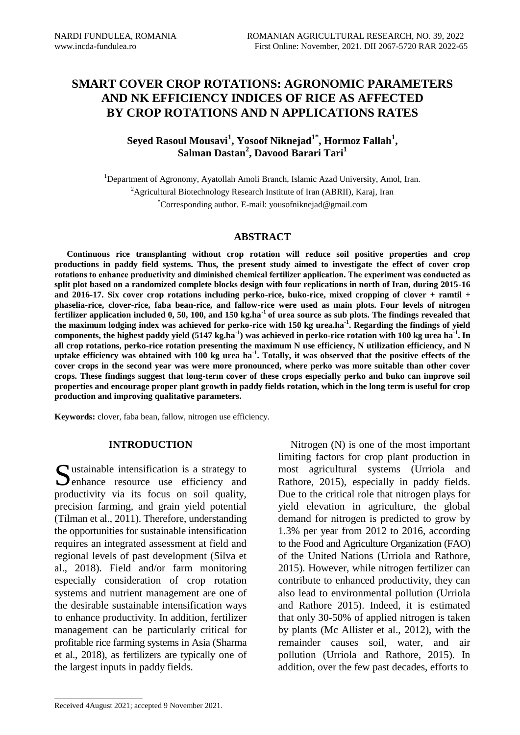## **SMART COVER CROP ROTATIONS: AGRONOMIC PARAMETERS AND NK EFFICIENCY INDICES OF RICE AS AFFECTED BY CROP ROTATIONS AND N APPLICATIONS RATES**

## **Seyed Rasoul Mousavi<sup>1</sup> , Yosoof Niknejad1\* , Hormoz Fallah<sup>1</sup> , Salman Dastan<sup>2</sup> , Davood Barari Tari<sup>1</sup>**

<sup>1</sup>Department of Agronomy, Ayatollah Amoli Branch, Islamic Azad University, Amol, Iran. <sup>2</sup>Agricultural Biotechnology Research Institute of Iran (ABRII), Karaj, Iran **\***Corresponding author. E-mail: yousofniknejad@gmail.com

#### **ABSTRACT**

**Continuous rice transplanting without crop rotation will reduce soil positive properties and crop productions in paddy field systems. Thus, the present study aimed to investigate the effect of cover crop rotations to enhance productivity and diminished chemical fertilizer application. The experiment was conducted as split plot based on a randomized complete blocks design with four replications in north of Iran, during 2015-16 and 2016-17. Six cover crop rotations including perko-rice, buko-rice, mixed cropping of clover + ramtil + phaselia-rice, clover-rice, faba bean-rice, and fallow-rice were used as main plots. Four levels of nitrogen fertilizer application included 0, 50, 100, and 150 kg.ha-1 of urea source as sub plots. The findings revealed that the maximum lodging index was achieved for perko-rice with 150 kg urea.ha-1 . Regarding the findings of yield components, the highest paddy yield (5147 kg.ha-1 ) was achieved in perko-rice rotation with 100 kg urea ha-1 . In all crop rotations, perko-rice rotation presenting the maximum N use efficiency, N utilization efficiency, and N uptake efficiency was obtained with 100 kg urea ha-1 . Totally, it was observed that the positive effects of the cover crops in the second year was were more pronounced, where perko was more suitable than other cover crops. These findings suggest that long-term cover of these crops especially perko and buko can improve soil properties and encourage proper plant growth in paddy fields rotation, which in the long term is useful for crop production and improving qualitative parameters.** 

**Keywords:** clover, faba bean, fallow, nitrogen use efficiency.

## **INTRODUCTION**

 $\Omega$  ustainable intensification is a strategy to Sustainable intensification is a strategy to enhance resource use efficiency and productivity via its focus on soil quality, precision farming, and grain yield potential (Tilman et al., 2011). Therefore, understanding the opportunities for sustainable intensification requires an integrated assessment at field and regional levels of past development (Silva et al., 2018). Field and/or farm monitoring especially consideration of crop rotation systems and nutrient management are one of the desirable sustainable intensification ways to enhance productivity. In addition, fertilizer management can be particularly critical for profitable rice farming systems in Asia (Sharma et al., 2018), as fertilizers are typically one of the largest inputs in paddy fields.

Nitrogen (N) is one of the most important limiting factors for crop plant production in most agricultural systems (Urriola and Rathore, 2015), especially in paddy fields. Due to the critical role that nitrogen plays for yield elevation in agriculture, the global demand for nitrogen is predicted to grow by 1.3% per year from 2012 to 2016, according to the Food and Agriculture Organization (FAO) of the United Nations (Urriola and Rathore, 2015). However, while nitrogen fertilizer can contribute to enhanced productivity, they can also lead to environmental pollution (Urriola and Rathore 2015). Indeed, it is estimated that only 30-50% of applied nitrogen is taken by plants (Mc Allister et al., 2012), with the remainder causes soil, water, and air pollution (Urriola and Rathore, 2015). In addition, over the few past decades, efforts to

Received 4August 2021; accepted 9 November 2021.

 $\mathcal{L}_\text{max}$  and  $\mathcal{L}_\text{max}$  and  $\mathcal{L}_\text{max}$  and  $\mathcal{L}_\text{max}$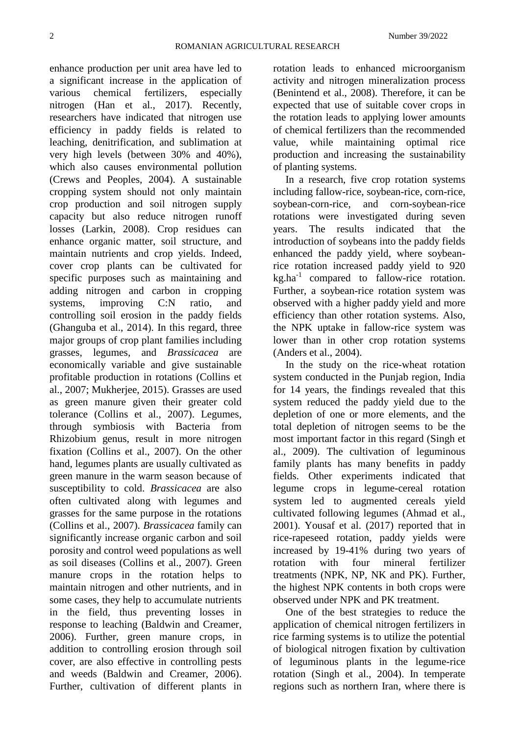enhance production per unit area have led to a significant increase in the application of various chemical fertilizers, especially nitrogen (Han et al., 2017). Recently, researchers have indicated that nitrogen use efficiency in paddy fields is related to leaching, denitrification, and sublimation at very high levels (between 30% and 40%), which also causes environmental pollution (Crews and Peoples, 2004). A sustainable cropping system should not only maintain crop production and soil nitrogen supply capacity but also reduce nitrogen runoff losses (Larkin, 2008). Crop residues can enhance organic matter, soil structure, and maintain nutrients and crop yields. Indeed, cover crop plants can be cultivated for specific purposes such as maintaining and adding nitrogen and carbon in cropping systems, improving C:N ratio, and controlling soil erosion in the paddy fields (Ghanguba et al., 2014). In this regard, three major groups of crop plant families including grasses, legumes, and *Brassicacea* are economically variable and give sustainable profitable production in rotations (Collins et al., 2007; Mukherjee, 2015). Grasses are used as green manure given their greater cold tolerance (Collins et al., 2007). Legumes, through symbiosis with Bacteria from Rhizobium genus, result in more nitrogen fixation (Collins et al., 2007). On the other hand, legumes plants are usually cultivated as green manure in the warm season because of susceptibility to cold. *Brassicacea* are also often cultivated along with legumes and grasses for the same purpose in the rotations (Collins et al., 2007). *Brassicacea* family can significantly increase organic carbon and soil porosity and control weed populations as well as soil diseases (Collins et al., 2007). Green manure crops in the rotation helps to maintain nitrogen and other nutrients, and in some cases, they help to accumulate nutrients in the field, thus preventing losses in response to leaching (Baldwin and Creamer, 2006). Further, green manure crops, in addition to controlling erosion through soil cover, are also effective in controlling pests and weeds (Baldwin and Creamer, 2006). Further, cultivation of different plants in

rotation leads to enhanced microorganism activity and nitrogen mineralization process (Benintend et al., 2008). Therefore, it can be expected that use of suitable cover crops in the rotation leads to applying lower amounts of chemical fertilizers than the recommended value, while maintaining optimal rice production and increasing the sustainability of planting systems.

In a research, five crop rotation systems including fallow-rice, soybean-rice, corn-rice, soybean-corn-rice, and corn-soybean-rice rotations were investigated during seven years. The results indicated that the introduction of soybeans into the paddy fields enhanced the paddy yield, where soybeanrice rotation increased paddy yield to 920  $kg.ha^{-1}$  compared to fallow-rice rotation. Further, a soybean-rice rotation system was observed with a higher paddy yield and more efficiency than other rotation systems. Also, the NPK uptake in fallow-rice system was lower than in other crop rotation systems (Anders et al., 2004).

In the study on the rice-wheat rotation system conducted in the Punjab region, India for 14 years, the findings revealed that this system reduced the paddy yield due to the depletion of one or more elements, and the total depletion of nitrogen seems to be the most important factor in this regard (Singh et al., 2009). The cultivation of leguminous family plants has many benefits in paddy fields. Other experiments indicated that legume crops in legume-cereal rotation system led to augmented cereals yield cultivated following legumes (Ahmad et al., 2001). Yousaf et al. (2017) reported that in rice-rapeseed rotation, paddy yields were increased by 19-41% during two years of rotation with four mineral fertilizer treatments (NPK, NP, NK and PK). Further, the highest NPK contents in both crops were observed under NPK and PK treatment.

One of the best strategies to reduce the application of chemical nitrogen fertilizers in rice farming systems is to utilize the potential of biological nitrogen fixation by cultivation of leguminous plants in the legume-rice rotation (Singh et al., 2004). In temperate regions such as northern Iran, where there is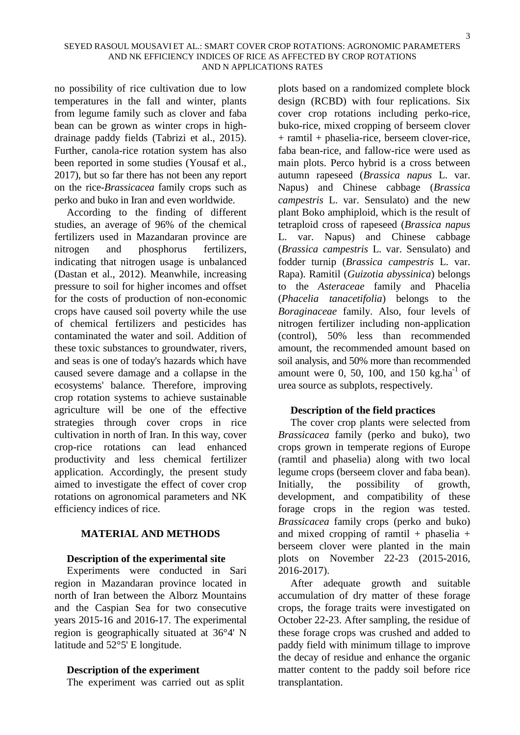no possibility of rice cultivation due to low temperatures in the fall and winter, plants from legume family such as clover and faba bean can be grown as winter crops in highdrainage paddy fields (Tabrizi et al., 2015). Further, canola-rice rotation system has also been reported in some studies (Yousaf et al., 2017), but so far there has not been any report on the rice-*Brassicacea* family crops such as perko and buko in Iran and even worldwide.

According to the finding of different studies, an average of 96% of the chemical fertilizers used in Mazandaran province are nitrogen and phosphorus fertilizers, indicating that nitrogen usage is unbalanced (Dastan et al., 2012). Meanwhile, increasing pressure to soil for higher incomes and offset for the costs of production of non-economic crops have caused soil poverty while the use of chemical fertilizers and pesticides has contaminated the water and soil. Addition of these toxic substances to groundwater, rivers, and seas is one of today's hazards which have caused severe damage and a collapse in the ecosystems' balance. Therefore, improving crop rotation systems to achieve sustainable agriculture will be one of the effective strategies through cover crops in rice cultivation in north of Iran. In this way, cover crop-rice rotations can lead enhanced productivity and less chemical fertilizer application. Accordingly, the present study aimed to investigate the effect of cover crop rotations on agronomical parameters and NK efficiency indices of rice.

## **MATERIAL AND METHODS**

## **Description of the experimental site**

Experiments were conducted in Sari region in Mazandaran province located in north of Iran between the Alborz Mountains and the Caspian Sea for two consecutive years 2015-16 and 2016-17. The experimental region is geographically situated at 36°4' N latitude and 52°5' E longitude.

## **Description of the experiment**

The experiment was carried out as split

plots based on a randomized complete block design (RCBD) with four replications. Six cover crop rotations including perko-rice, buko-rice, mixed cropping of berseem clover + ramtil + phaselia-rice, berseem clover-rice, faba bean-rice, and fallow-rice were used as main plots. Perco hybrid is a cross between autumn rapeseed (*Brassica napus* L. var. Napus) and Chinese cabbage (*Brassica campestris* L. var. Sensulato) and the new plant Boko amphiploid, which is the result of tetraploid cross of rapeseed (*Brassica napus* L. var. Napus) and Chinese cabbage (*Brassica campestris* L. var. Sensulato) and fodder turnip (*Brassica campestris* L. var. Rapa). Ramitil (*Guizotia abyssinica*) belongs to the *Asteraceae* family and Phacelia (*Phacelia tanacetifolia*) belongs to the *Boraginaceae* family. Also, four levels of nitrogen fertilizer including non-application (control), 50% less than recommended amount, the recommended amount based on soil analysis, and 50% more than recommended amount were 0, 50, 100, and 150 kg.ha<sup>-1</sup> of urea source as subplots, respectively.

## **Description of the field practices**

The cover crop plants were selected from *Brassicacea* family (perko and buko), two crops grown in temperate regions of Europe (ramtil and phaselia) along with two local legume crops (berseem clover and faba bean). Initially, the possibility of growth, development, and compatibility of these forage crops in the region was tested. *Brassicacea* family crops (perko and buko) and mixed cropping of ramtil + phaselia + berseem clover were planted in the main plots on November 22-23 (2015-2016, 2016-2017).

After adequate growth and suitable accumulation of dry matter of these forage crops, the forage traits were investigated on October 22-23. After sampling, the residue of these forage crops was crushed and added to paddy field with minimum tillage to improve the decay of residue and enhance the organic matter content to the paddy soil before rice transplantation.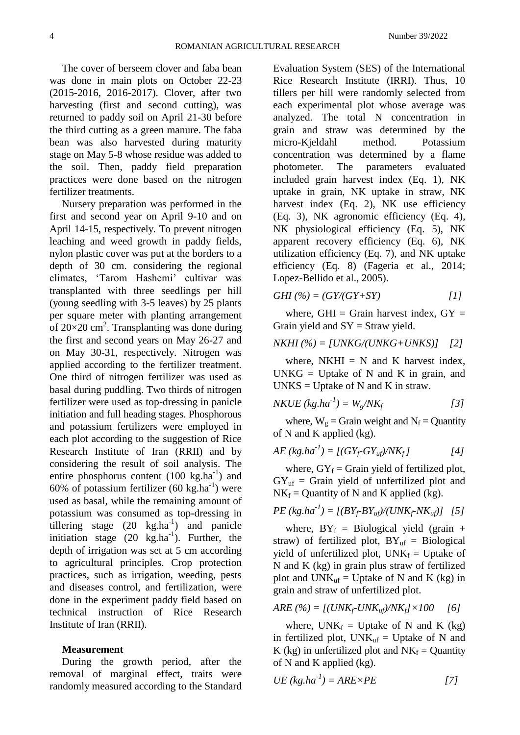The cover of berseem clover and faba bean was done in main plots on October 22-23 (2015-2016, 2016-2017). Clover, after two harvesting (first and second cutting), was returned to paddy soil on April 21-30 before the third cutting as a green manure. The faba bean was also harvested during maturity stage on May 5-8 whose residue was added to the soil. Then, paddy field preparation practices were done based on the nitrogen fertilizer treatments.

Nursery preparation was performed in the first and second year on April 9-10 and on April 14-15, respectively. To prevent nitrogen leaching and weed growth in paddy fields, nylon plastic cover was put at the borders to a depth of 30 cm. considering the regional climates, 'Tarom Hashemi' cultivar was transplanted with three seedlings per hill (young seedling with 3-5 leaves) by 25 plants per square meter with planting arrangement of  $20\times20$  cm<sup>2</sup>. Transplanting was done during the first and second years on May 26-27 and on May 30-31, respectively. Nitrogen was applied according to the fertilizer treatment. One third of nitrogen fertilizer was used as basal during puddling. Two thirds of nitrogen fertilizer were used as top-dressing in panicle initiation and full heading stages. Phosphorous and potassium fertilizers were employed in each plot according to the suggestion of Rice Research Institute of Iran (RRII) and by considering the result of soil analysis. The entire phosphorus content  $(100 \text{ kg.ha}^{-1})$  and 60% of potassium fertilizer  $(60 \text{ kg.ha}^{-1})$  were used as basal, while the remaining amount of potassium was consumed as top-dressing in tillering stage  $(20 \text{ kg.ha}^{-1})$  and panicle initiation stage  $(20 \text{ kg.ha}^{-1})$ . Further, the depth of irrigation was set at 5 cm according to agricultural principles. Crop protection practices, such as irrigation, weeding, pests and diseases control, and fertilization, were done in the experiment paddy field based on technical instruction of Rice Research Institute of Iran (RRII).

#### **Measurement**

During the growth period, after the removal of marginal effect, traits were randomly measured according to the Standard Evaluation System (SES) of the International Rice Research Institute (IRRI). Thus, 10 tillers per hill were randomly selected from each experimental plot whose average was analyzed. The total N concentration in grain and straw was determined by the micro-Kjeldahl method. Potassium concentration was determined by a flame photometer. The parameters evaluated included grain harvest index (Eq. 1), NK uptake in grain, NK uptake in straw, NK harvest index (Eq. 2), NK use efficiency (Eq. 3), NK agronomic efficiency (Eq. 4), NK physiological efficiency (Eq. 5), NK apparent recovery efficiency (Eq. 6), NK utilization efficiency (Eq. 7), and NK uptake efficiency (Eq. 8) (Fageria et al., 2014; Lopez-Bellido et al., 2005).

$$
GHI \quad (\% ) = (GY/(GY + SY) \qquad [1]
$$

where, GHI = Grain harvest index,  $GY =$ Grain yield and  $SY =$  Straw yield.

### *NKHI (%) = [UNKG/(UNKG+UNKS)] [2]*

where,  $NKHI = N$  and K harvest index,  $UNKG = Uptake of N and K in grain, and$  $UNKS = Uptake of N and K in straw.$ 

$$
NKUE (kg.ha^{-1}) = W_g / NK_f
$$
 [3]

where,  $W_g$  = Grain weight and  $N_f$  = Quantity of N and K applied (kg).

$$
AE (kg.ha^{-1}) = [(GY_f-GY_{uf})/NK_f]
$$
 [4]

where,  $GY_f =$  Grain yield of fertilized plot,  $GY_{uf}$  = Grain yield of unfertilized plot and  $NK_f =$ Quantity of N and K applied (kg).

$$
PE (kg.ha^{-1}) = [(BY_f\text{-}BY_{uf})/(UNK_f\text{-}NK_{uf})]
$$
 [5]

where,  $BY_f = Biological$  yield (grain + straw) of fertilized plot,  $BY_{\text{uf}} = Biological$ yield of unfertilized plot,  $UNK_f = Uptake$  of N and K (kg) in grain plus straw of fertilized plot and  $UNK<sub>uf</sub> = Uptake of N and K (kg) in$ grain and straw of unfertilized plot.

$$
ARE(%) = [(UNK_f\text{-}UNK_{uf})/NK_f] \times 100 \quad [6]
$$

where,  $UNK_f = Uptake$  of N and K (kg) in fertilized plot,  $UNK_{\text{uf}} = Update$  of N and K (kg) in unfertilized plot and  $NK_f =$  Quantity of N and K applied (kg).

$$
UE (kg.ha^{-1}) = ARE \times PE \tag{7}
$$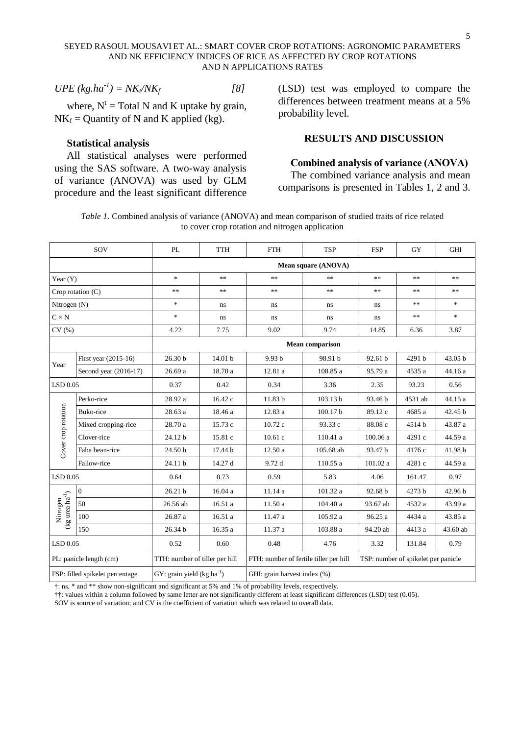$$
UPE (kg.ha^{-1}) = NK_t / NK_f \tag{8}
$$

where,  $N^t$  = Total N and K uptake by grain,  $NK_f =$ Quantity of N and K applied (kg).

#### **Statistical analysis**

All statistical analyses were performed using the SAS software. A two-way analysis of variance (ANOVA) was used by GLM procedure and the least significant difference

(LSD) test was employed to compare the differences between treatment means at a 5% probability level.

## **RESULTS AND DISCUSSION**

#### **Combined analysis of variance (ANOVA)**

The combined variance analysis and mean comparisons is presented in Tables 1, 2 and 3.

*Table 1*. Combined analysis of variance (ANOVA) and mean comparison of studied traits of rice related to cover crop rotation and nitrogen application

| SOV                                             |                       | PL                             | <b>TTH</b>                            | <b>FTH</b>                                                                    | <b>TSP</b>          | <b>GHI</b> |         |          |  |  |  |  |
|-------------------------------------------------|-----------------------|--------------------------------|---------------------------------------|-------------------------------------------------------------------------------|---------------------|------------|---------|----------|--|--|--|--|
|                                                 |                       | Mean square (ANOVA)            |                                       |                                                                               |                     |            |         |          |  |  |  |  |
| Year $(Y)$                                      |                       | $\ast$                         | **                                    | $\ast\ast$                                                                    | $\ast\ast$          | **         | $**$    | $\ast$   |  |  |  |  |
| Crop rotation (C)                               |                       | **                             | **                                    | $**$                                                                          | $**$                | $**$       | **      | $**$     |  |  |  |  |
| Nitrogen (N)                                    |                       | $\ast$                         | ns.                                   | ns                                                                            | ns                  | ns         | $**$    | $*$      |  |  |  |  |
| $C \times N$                                    |                       | $\ast$                         | ns                                    | ns                                                                            | ns                  | ns         | $**$    | $\ast$   |  |  |  |  |
| CV(%)                                           |                       | 4.22                           | 9.02<br>9.74<br>7.75<br>14.85<br>6.36 |                                                                               |                     |            |         | 3.87     |  |  |  |  |
|                                                 |                       |                                | <b>Mean comparison</b>                |                                                                               |                     |            |         |          |  |  |  |  |
|                                                 | First year (2015-16)  | 26.30 b                        | 14.01 b                               | 9.93 b                                                                        | 98.91 b             | 92.61 b    | 4291 b  | 43.05 b  |  |  |  |  |
| Year                                            | Second year (2016-17) | 26.69a                         | 18.70 a                               | 12.81 a                                                                       | 108.85 a            | 95.79 a    | 4535 a  | 44.16 a  |  |  |  |  |
| $LSD$ 0.05                                      |                       | 0.37                           | 0.42                                  | 0.34                                                                          | 3.36                | 2.35       | 93.23   | 0.56     |  |  |  |  |
|                                                 | Perko-rice            | 28.92 a                        | 16.42 c                               | 11.83 <sub>b</sub>                                                            | 103.13 <sub>b</sub> | 93.46 b    | 4531 ab | 44.15 a  |  |  |  |  |
| Cover crop rotation                             | Buko-rice             | 28.63 a                        | 18.46 a                               | 12.83 a                                                                       | 100.17b             | 89.12 c    | 4685 a  | 42.45 b  |  |  |  |  |
|                                                 | Mixed cropping-rice   | 28.70 a                        | 15.73 c                               | 10.72 c                                                                       | 93.33 c             | 88.08 c    | 4514 b  | 43.87 a  |  |  |  |  |
|                                                 | Clover-rice           | 24.12 b                        | 15.81 c                               | 10.61c                                                                        | 110.41 a            | 100.06 a   | 4291 c  | 44.59 a  |  |  |  |  |
|                                                 | Faba bean-rice        | 24.50 <sub>b</sub>             | 17.44 b                               | 12.50a                                                                        | 105.68 ab           | 93.47 b    | 4176 c  | 41.98 b  |  |  |  |  |
|                                                 | Fallow-rice           | 24.11 b                        | 14.27 d                               | 9.72 d                                                                        | 110.55 a            | 101.02 a   | 4281 c  | 44.59 a  |  |  |  |  |
| $LSD$ 0.05                                      |                       | 0.64                           | 0.73                                  | 0.59                                                                          | 5.83                | 4.06       | 161.47  | 0.97     |  |  |  |  |
|                                                 | $\boldsymbol{0}$      | 26.21 <sub>b</sub>             | 16.04 a                               | 11.14 a                                                                       | 101.32 a            | 92.68 b    | 4273 b  | 42.96 b  |  |  |  |  |
| (kg urea $\mathrm{ha}^{\text{-}1})$<br>Nitrogen | 50                    | 26.56 ab                       | 16.51 a                               | 11.50 a                                                                       | 104.40 a            | 93.67 ab   | 4532 a  | 43.99 a  |  |  |  |  |
|                                                 | 100                   | 26.87a                         | 16.51 a                               | 11.47 a                                                                       | 105.92 a            | 96.25 a    | 4434 a  | 43.85 a  |  |  |  |  |
|                                                 | 150                   | 26.34 b                        | 16.35 a                               | 11.37 a                                                                       | 103.88 a            | 94.20 ab   | 4413 a  | 43.60 ab |  |  |  |  |
| LSD 0.05                                        |                       | 0.52                           | 0.60                                  | 0.48<br>4.76                                                                  |                     | 3.32       | 131.84  | 0.79     |  |  |  |  |
| PL: panicle length (cm)                         |                       | TTH: number of tiller per hill |                                       | TSP: number of spikelet per panicle<br>FTH: number of fertile tiller per hill |                     |            |         |          |  |  |  |  |
| FSP: filled spikelet percentage                 |                       | GY: grain yield $(kg ha^{-1})$ |                                       | GHI: grain harvest index (%)                                                  |                     |            |         |          |  |  |  |  |

†: ns, \* and \*\* show non-significant and significant at 5% and 1% of probability levels, respectively.

††: values within a column followed by same letter are not significantly different at least significant differences (LSD) test (0.05).

SOV is source of variation; and CV is the coefficient of variation which was related to overall data.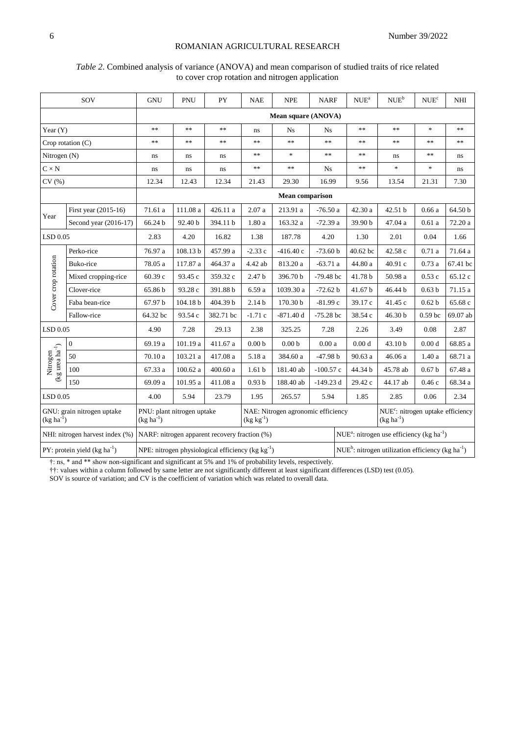: nitrogen use efficiency (kg ha<sup>-1</sup>)

 $NUE<sup>b</sup>$ : nitrogen utilization efficiency (kg ha<sup>-1</sup>)

#### ROMANIAN AGRICULTURAL RESEARCH

|                                                                            |                       |                                           |            |            |                    | to cover crop rotation and nitrogen application |             |                                                                 |                                          |                                      |            |
|----------------------------------------------------------------------------|-----------------------|-------------------------------------------|------------|------------|--------------------|-------------------------------------------------|-------------|-----------------------------------------------------------------|------------------------------------------|--------------------------------------|------------|
|                                                                            | SOV                   | <b>GNU</b>                                | PNU        | <b>PY</b>  | <b>NAE</b>         | <b>NPE</b>                                      | <b>NARF</b> | NUE <sup>a</sup>                                                | $\ensuremath{\mathsf{NUE}^{\mathrm{b}}}$ | $\ensuremath{\mathsf{NUE}^c}\xspace$ | <b>NHI</b> |
|                                                                            |                       |                                           |            |            |                    | Mean square (ANOVA)                             |             |                                                                 |                                          |                                      |            |
| Year $(Y)$                                                                 |                       | $\frac{1}{2}$                             | $\ast\ast$ | $\ast\ast$ | ns                 | <b>Ns</b>                                       | <b>Ns</b>   | $\ast$ $\ast$                                                   | $**$                                     | ×.                                   | $\ast$     |
|                                                                            | Crop rotation (C)     | **                                        | $\ast\ast$ | $\ast\ast$ | $\ast$             | $\ast\ast$                                      | $\ast\ast$  | **                                                              | **                                       | $\ast$ $\ast$                        | $\ast$     |
| Nitrogen (N)                                                               |                       | $\, \! ns$                                | $\rm ns$   | ns         | $**$               | $\ast$                                          | $**$        | **                                                              | ns                                       | $**$                                 | ns         |
| $C \times N$                                                               |                       | ns                                        | ns         | ns         | $\ast\ast$         | $\ast\ast$                                      | Ns          | $\ast\ast$                                                      | $\ast$                                   | $\ast$                               | ns         |
| CV(%)                                                                      |                       | 12.34                                     | 12.43      | 12.34      | 21.43              | 29.30                                           | 16.99       | 9.56                                                            | 13.54                                    | 21.31                                | 7.30       |
| <b>Mean comparison</b>                                                     |                       |                                           |            |            |                    |                                                 |             |                                                                 |                                          |                                      |            |
| Year                                                                       | First year (2015-16)  | 71.61a                                    | 111.08 a   | 426.11 a   | $2.07\ \mathrm{a}$ | 213.91 a                                        | $-76.50a$   | 42.30 a                                                         | 42.51 b                                  | 0.66a                                | 64.50 b    |
|                                                                            | Second year (2016-17) | 66.24 b                                   | 92.40 b    | 394.11 b   | 1.80 a             | 163.32 a                                        | $-72.39a$   | 39.90 b                                                         | 47.04 a                                  | 0.61a                                | 72.20 a    |
| LSD 0.05                                                                   |                       | 2.83                                      | 4.20       | 16.82      | 1.38               | 187.78                                          | 4.20        | 1.30                                                            | 2.01                                     | 0.04                                 | 1.66       |
|                                                                            | Perko-rice            | 76.97 a                                   | 108.13 b   | 457.99 a   | $-2.33c$           | $-416.40c$                                      | $-73.60 b$  | 40.62 bc                                                        | 42.58 c                                  | 0.71a                                | 71.64 a    |
|                                                                            | Buko-rice             | 78.05 a                                   | 117.87 a   | 464.37 a   | 4.42 ab            | 813.20 a                                        | $-63.71a$   | 44.80 a                                                         | 40.91 c                                  | 0.73a                                | 67.41 bc   |
| Cover crop rotation                                                        | Mixed cropping-rice   | 60.39 с                                   | 93.45 c    | 359.32 c   | 2.47 <sub>b</sub>  | 396.70 b                                        | $-79.48$ bc | 41.78 b                                                         | 50.98 a                                  | 0.53c                                | 65.12 c    |
|                                                                            | Clover-rice           | 65.86 b                                   | 93.28 c    | 391.88 b   | 6.59 a             | 1039.30 a                                       | $-72.62 b$  | 41.67 b                                                         | 46.44 b                                  | 0.63 <sub>b</sub>                    | 71.15 a    |
|                                                                            | Faba bean-rice        | 67.97 b                                   | 104.18 b   | 404.39 b   | 2.14 <sub>b</sub>  | 170.30 b                                        | $-81.99c$   | 39.17 c                                                         | 41.45 c                                  | 0.62 <sub>b</sub>                    | 65.68 c    |
|                                                                            | Fallow-rice           | 64.32 bc                                  | 93.54 c    | 382.71 bc  | $-1.71c$           | $-871.40 d$                                     | $-75.28$ bc | 38.54 c                                                         | 46.30 b                                  | 0.59 <sub>bc</sub>                   | 69.07 ab   |
| LSD 0.05                                                                   |                       | 4.90                                      | 7.28       | 29.13      | 2.38               | 325.25                                          | 7.28        | 2.26                                                            | 3.49                                     | 0.08                                 | 2.87       |
|                                                                            | $\boldsymbol{0}$      | 69.19 a                                   | 101.19 a   | 411.67 a   | 0.00 <sub>b</sub>  | 0.00 <sub>b</sub>                               | 0.00a       | 0.00 <sub>d</sub>                                               | 43.10 b                                  | 0.00 <sub>d</sub>                    | 68.85 a    |
|                                                                            | 50                    | 70.10 a                                   | 103.21 a   | 417.08 a   | $5.18\ a$          | 384.60 a                                        | $-47.98 b$  | 90.63 a                                                         | 46.06 a                                  | 1.40a                                | 68.71 a    |
| $\begin{array}{c} \text{Nitrogen} \\ \text{(kg area ha}^{-1}) \end{array}$ | 100                   | 67.33 a                                   | 100.62 a   | 400.60 a   | 1.61 <sub>b</sub>  | 181.40 ab                                       | $-100.57c$  | 44.34 b                                                         | 45.78 ab                                 | 0.67 <sub>b</sub>                    | 67.48 a    |
|                                                                            | 150                   | 69.09 a                                   | 101.95 a   | 411.08 a   | 0.93 <sub>b</sub>  | 188.40 ab                                       | $-149.23 d$ | 29.42 c                                                         | 44.17 ab                                 | 0.46c                                | 68.34 a    |
| LSD 0.05                                                                   |                       | 4.00                                      | 5.94       | 23.79      | 1.95               | 265.57                                          | 5.94        | 1.85                                                            | 2.85                                     | 0.06                                 | 2.34       |
| GNU: grain nitrogen uptake<br>$(\text{kg ha}^{-1})$                        |                       | PNU: plant nitrogen uptake<br>$(kg ha-1)$ |            |            | $(kg kg^{-1})$     | NAE: Nitrogen agronomic efficiency              |             | NUE <sup>c</sup> : nitrogen uptake efficiency<br>$(kg ha^{-1})$ |                                          |                                      |            |

# *Table 2*. Combined analysis of variance (ANOVA) and mean comparison of studied traits of rice related

†: ns, \* and \*\* show non-significant and significant at 5% and 1% of probability levels, respectively.

) NPE: nitrogen physiological efficiency (kg kg-1

NHI: nitrogen harvest index (%) NARF: nitrogen apparent recovery fraction (%)

PY: protein yield (kg ha<sup>-1</sup>)

††: values within a column followed by same letter are not significantly different at least significant differences (LSD) test (0.05).

SOV is source of variation; and CV is the coefficient of variation which was related to overall data.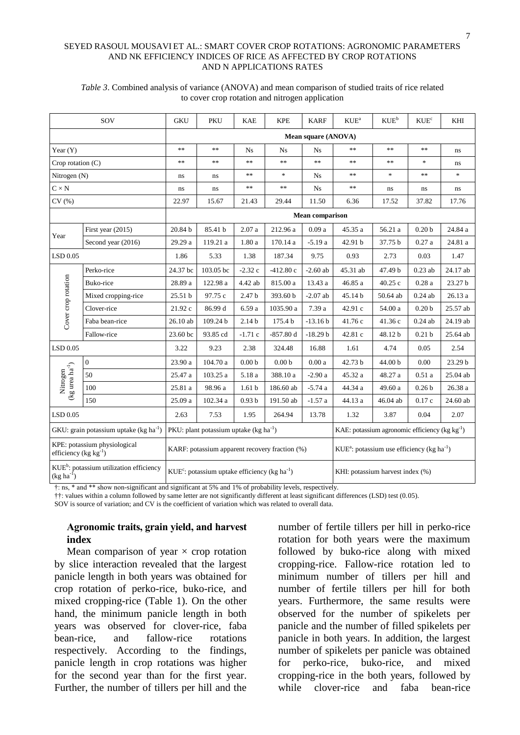#### SEYED RASOUL MOUSAVI ET AL.: SMART COVER CROP ROTATIONS: AGRONOMIC PARAMETERS AND NK EFFICIENCY INDICES OF RICE AS AFFECTED BY CROP ROTATIONS AND N APPLICATIONS RATES

| SOV                                                                                        |                     | <b>GKU</b>                                                                                                  | PKU                                             | <b>KAE</b>        | <b>KPE</b>        | <b>KARF</b>                                          | $KUE^a$       | $KUE^b$                           | $\ensuremath{\mathrm{KUE}^c}\xspace$ | KHI      |  |  |
|--------------------------------------------------------------------------------------------|---------------------|-------------------------------------------------------------------------------------------------------------|-------------------------------------------------|-------------------|-------------------|------------------------------------------------------|---------------|-----------------------------------|--------------------------------------|----------|--|--|
|                                                                                            |                     | Mean square (ANOVA)                                                                                         |                                                 |                   |                   |                                                      |               |                                   |                                      |          |  |  |
| Year $(Y)$                                                                                 |                     | $\ast$ $\ast$                                                                                               | $**$                                            | Ns                | Ns                | Ns                                                   | **            | **                                | $**$                                 | ns       |  |  |
| Crop rotation $(C)$                                                                        |                     | $\ast$                                                                                                      | $**$                                            | $**$              | $\ast$            | $\ast\ast$                                           | $\ast\ast$    | **                                | $\frac{1}{2}$                        | ns       |  |  |
| Nitrogen (N)                                                                               |                     | ns                                                                                                          | ns                                              | $**$              | $\ast$            | <b>Ns</b>                                            | $\ast$ $\ast$ | $\frac{d\mathbf{r}}{d\mathbf{r}}$ | $**$                                 | $\ast$   |  |  |
| $C \times N$                                                                               |                     | ns                                                                                                          | ns                                              | $**$              | $**$              | Ns                                                   | **            | ns.                               | ns                                   | ns       |  |  |
| CV(%)                                                                                      |                     | 22.97                                                                                                       | 15.67                                           | 21.43             | 29.44             | 11.50                                                | 6.36          | 17.52                             | 37.82                                | 17.76    |  |  |
|                                                                                            |                     | <b>Mean comparison</b>                                                                                      |                                                 |                   |                   |                                                      |               |                                   |                                      |          |  |  |
| Year                                                                                       | First year (2015)   | 20.84 b                                                                                                     | 85.41 b                                         | 2.07a             | 212.96 a          | 0.09a                                                | 45.35 a       | 56.21 a                           | 0.20 <sub>b</sub>                    | 24.84 a  |  |  |
|                                                                                            | Second year (2016)  | 29.29 a                                                                                                     | 119.21 a                                        | 1.80a             | 170.14 a          | $-5.19a$                                             | 42.91 b       | 37.75 b                           | 0.27a                                | 24.81 a  |  |  |
| LSD 0.05                                                                                   |                     | 1.86                                                                                                        | 5.33                                            | 1.38              | 187.34            | 9.75                                                 | 0.93          | 2.73                              | 0.03                                 | 1.47     |  |  |
|                                                                                            | Perko-rice          | 24.37 bc                                                                                                    | 103.05 bc                                       | $-2.32c$          | $-412.80c$        | $-2.60$ ab                                           | 45.31 ab      | 47.49 b                           | $0.23$ ab                            | 24.17 ab |  |  |
|                                                                                            | Buko-rice           | 28.89 a                                                                                                     | 122.98 a                                        | 4.42 ab           | 815.00 a          | 13.43 a                                              | 46.85 a       | 40.25 c                           | 0.28a                                | 23.27 b  |  |  |
|                                                                                            | Mixed cropping-rice | 25.51 b                                                                                                     | 97.75 c                                         | 2.47 <sub>b</sub> | 393.60 b          | $-2.07$ ab                                           | 45.14 b       | 50.64 ab                          | $0.24$ ab                            | 26.13 a  |  |  |
|                                                                                            | Clover-rice         | 21.92 c                                                                                                     | 86.99 d                                         | 6.59 a            | 1035.90 a         | 7.39 a                                               | 42.91 c       | 54.00 a                           | 0.20 <sub>b</sub>                    | 25.57 ab |  |  |
| Cover crop rotation                                                                        | Faba bean-rice      | $26.10$ ab                                                                                                  | 109.24 b                                        | 2.14 <sub>b</sub> | 175.4 b           | $-13.16 b$                                           | 41.76 c       | 41.36 c                           | $0.24$ ab                            | 24.19 ab |  |  |
|                                                                                            | Fallow-rice         | 23.60 bc                                                                                                    | 93.85 cd                                        | $-1.71c$          | $-857.80d$        | $-18.29 b$                                           | 42.81 c       | 48.12 b                           | 0.21 <sub>b</sub>                    | 25.64 ab |  |  |
| $LSD$ 0.05                                                                                 |                     | 3.22                                                                                                        | 9.23                                            | 2.38              | 324.48            | 16.88                                                | 1.61          | 4.74                              | 0.05                                 | 2.54     |  |  |
|                                                                                            | $\mathbf{0}$        | 23.90 a                                                                                                     | 104.70a                                         | 0.00 <sub>b</sub> | 0.00 <sub>b</sub> | 0.00a                                                | 42.73 b       | 44.00 <sub>b</sub>                | 0.00                                 | 23.29 b  |  |  |
|                                                                                            | 50                  | 25.47 a                                                                                                     | 103.25 a                                        | 5.18 a            | 388.10 a          | $-2.90a$                                             | 45.32 a       | 48.27 a                           | 0.51a                                | 25.04 ab |  |  |
| $\begin{array}{c} \text{Nitrogen} \\ (\text{kg} \text{ urea} \text{ ha}^{-1}) \end{array}$ | 100                 | 25.81 a                                                                                                     | 98.96 a                                         | 1.61 <sub>b</sub> | 186.60 ab         | $-5.74a$                                             | 44.34 a       | 49.60 a                           | 0.26 <sub>b</sub>                    | 26.38 a  |  |  |
|                                                                                            | 150                 | 25.09 a                                                                                                     | 102.34 a                                        | 0.93 <sub>b</sub> | 191.50 ab         | $-1.57a$                                             | 44.13 a       | 46.04 ab                          | 0.17c                                | 24.60 ab |  |  |
| LSD 0.05                                                                                   |                     | 2.63                                                                                                        | 7.53                                            | 1.95              | 264.94            | 13.78                                                | 1.32          | 3.87                              | 0.04                                 | 2.07     |  |  |
| GKU: grain potassium uptake (kg ha <sup>-1</sup> )                                         |                     |                                                                                                             | PKU: plant potassium uptake ( $kg \, ha^{-1}$ ) |                   |                   | KAE: potassium agronomic efficiency ( $kg kg^{-1}$ ) |               |                                   |                                      |          |  |  |
| KPE: potassium physiological<br>efficiency ( $kg kg^{-1}$ )                                |                     | $KUE^a$ : potassium use efficiency (kg ha <sup>-1</sup> )<br>KARF: potassium apparent recovery fraction (%) |                                                 |                   |                   |                                                      |               |                                   |                                      |          |  |  |
| KUE <sup>b</sup> : potassium utilization efficiency<br>$(kg ha-1)$                         |                     | $KUEc$ : potassium uptake efficiency (kg ha <sup>-1</sup> )<br>KHI: potassium harvest index (%)             |                                                 |                   |                   |                                                      |               |                                   |                                      |          |  |  |

#### *Table 3*. Combined analysis of variance (ANOVA) and mean comparison of studied traits of rice related to cover crop rotation and nitrogen application

†: ns, \* and \*\* show non-significant and significant at 5% and 1% of probability levels, respectively.

††: values within a column followed by same letter are not significantly different at least significant differences (LSD) test (0.05).

SOV is source of variation; and CV is the coefficient of variation which was related to overall data.

## **Agronomic traits, grain yield, and harvest index**

Mean comparison of year  $\times$  crop rotation by slice interaction revealed that the largest panicle length in both years was obtained for crop rotation of perko-rice, buko-rice, and mixed cropping-rice (Table 1). On the other hand, the minimum panicle length in both years was observed for clover-rice, faba bean-rice, and fallow-rice rotations respectively. According to the findings, panicle length in crop rotations was higher for the second year than for the first year. Further, the number of tillers per hill and the

number of fertile tillers per hill in perko-rice rotation for both years were the maximum followed by buko-rice along with mixed cropping-rice. Fallow-rice rotation led to minimum number of tillers per hill and number of fertile tillers per hill for both years. Furthermore, the same results were observed for the number of spikelets per panicle and the number of filled spikelets per panicle in both years. In addition, the largest number of spikelets per panicle was obtained for perko-rice, buko-rice, and mixed cropping-rice in the both years, followed by while clover-rice and faba bean-rice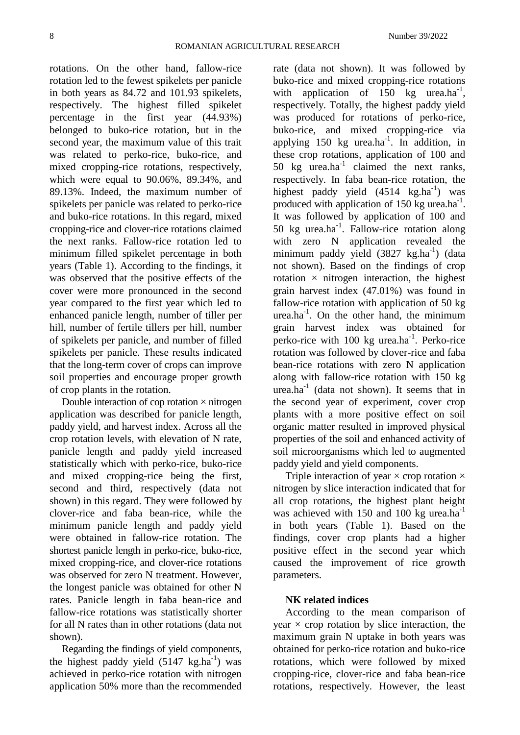rotations. On the other hand, fallow-rice rotation led to the fewest spikelets per panicle in both years as 84.72 and 101.93 spikelets, respectively. The highest filled spikelet percentage in the first year (44.93%) belonged to buko-rice rotation, but in the second year, the maximum value of this trait was related to perko-rice, buko-rice, and mixed cropping-rice rotations, respectively, which were equal to 90.06%, 89.34%, and 89.13%. Indeed, the maximum number of spikelets per panicle was related to perko-rice and buko-rice rotations. In this regard, mixed cropping-rice and clover-rice rotations claimed the next ranks. Fallow-rice rotation led to minimum filled spikelet percentage in both years (Table 1). According to the findings, it was observed that the positive effects of the cover were more pronounced in the second year compared to the first year which led to enhanced panicle length, number of tiller per hill, number of fertile tillers per hill, number of spikelets per panicle, and number of filled spikelets per panicle. These results indicated that the long-term cover of crops can improve soil properties and encourage proper growth of crop plants in the rotation.

Double interaction of cop rotation  $\times$  nitrogen application was described for panicle length, paddy yield, and harvest index. Across all the crop rotation levels, with elevation of N rate, panicle length and paddy yield increased statistically which with perko-rice, buko-rice and mixed cropping-rice being the first, second and third, respectively (data not shown) in this regard. They were followed by clover-rice and faba bean-rice, while the minimum panicle length and paddy yield were obtained in fallow-rice rotation. The shortest panicle length in perko-rice, buko-rice, mixed cropping-rice, and clover-rice rotations was observed for zero N treatment. However, the longest panicle was obtained for other N rates. Panicle length in faba bean-rice and fallow-rice rotations was statistically shorter for all N rates than in other rotations (data not shown).

Regarding the findings of yield components, the highest paddy yield  $(5147 \text{ kg.ha}^{-1})$  was achieved in perko-rice rotation with nitrogen application 50% more than the recommended

rate (data not shown). It was followed by buko-rice and mixed cropping-rice rotations with application of  $150$  kg urea.ha<sup>-1</sup>, respectively. Totally, the highest paddy yield was produced for rotations of perko-rice, buko-rice, and mixed cropping-rice via applying  $150 \text{ kg}$  urea.ha<sup>-1</sup>. In addition, in these crop rotations, application of 100 and 50  $kg$  urea.ha<sup>-1</sup> claimed the next ranks, respectively. In faba bean-rice rotation, the highest paddy yield  $(4514 \text{ kg.ha}^{-1})$  was produced with application of  $150$  kg urea.ha<sup>-1</sup>. It was followed by application of 100 and 50 kg urea.ha<sup>-1</sup>. Fallow-rice rotation along with zero N application revealed the minimum paddy yield (3827 kg.ha<sup>-1</sup>) (data not shown). Based on the findings of crop rotation  $\times$  nitrogen interaction, the highest grain harvest index (47.01%) was found in fallow-rice rotation with application of 50 kg urea.ha<sup>-1</sup>. On the other hand, the minimum grain harvest index was obtained for perko-rice with 100 kg urea.ha<sup>-1</sup>. Perko-rice rotation was followed by clover-rice and faba bean-rice rotations with zero N application along with fallow-rice rotation with 150 kg  $u$ rea.ha<sup>-1</sup> (data not shown). It seems that in the second year of experiment, cover crop plants with a more positive effect on soil organic matter resulted in improved physical properties of the soil and enhanced activity of soil microorganisms which led to augmented paddy yield and yield components.

Triple interaction of year  $\times$  crop rotation  $\times$ nitrogen by slice interaction indicated that for all crop rotations, the highest plant height was achieved with 150 and 100 kg urea.ha<sup>-1</sup> in both years (Table 1). Based on the findings, cover crop plants had a higher positive effect in the second year which caused the improvement of rice growth parameters.

## **NK related indices**

According to the mean comparison of year  $\times$  crop rotation by slice interaction, the maximum grain N uptake in both years was obtained for perko-rice rotation and buko-rice rotations, which were followed by mixed cropping-rice, clover-rice and faba bean-rice rotations, respectively. However, the least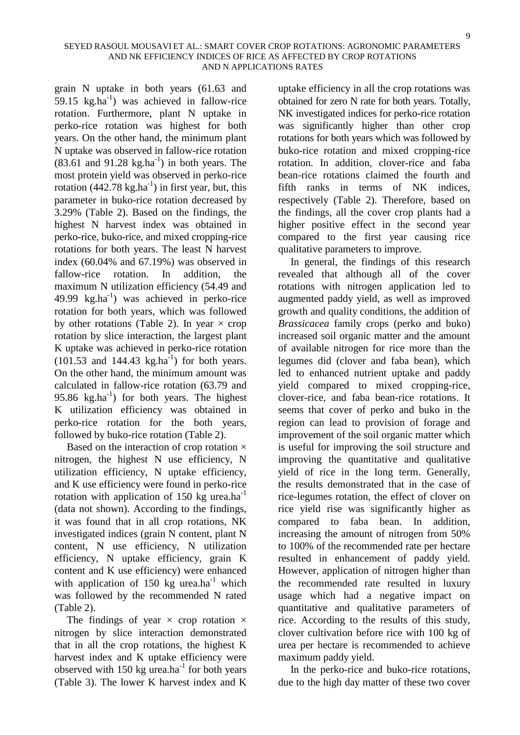grain N uptake in both years (61.63 and 59.15  $kg \cdot ha^{-1}$ ) was achieved in fallow-rice rotation. Furthermore, plant N uptake in perko-rice rotation was highest for both years. On the other hand, the minimum plant N uptake was observed in fallow-rice rotation  $(83.61$  and  $91.28$  kg.ha<sup>-1</sup>) in both years. The most protein yield was observed in perko-rice rotation  $(442.78 \text{ kg.ha}^{-1})$  in first year, but, this parameter in buko-rice rotation decreased by 3.29% (Table 2). Based on the findings, the highest N harvest index was obtained in perko-rice, buko-rice, and mixed cropping-rice rotations for both years. The least N harvest index (60.04% and 67.19%) was observed in fallow-rice rotation. In addition, the maximum N utilization efficiency (54.49 and 49.99  $kg.ha^{-1}$ ) was achieved in perko-rice rotation for both years, which was followed by other rotations (Table 2). In year  $\times$  crop rotation by slice interaction, the largest plant K uptake was achieved in perko-rice rotation  $(101.53 \text{ and } 144.43 \text{ kg.ha}^{-1})$  for both years. On the other hand, the minimum amount was calculated in fallow-rice rotation (63.79 and 95.86  $kg.ha^{-1}$ ) for both years. The highest K utilization efficiency was obtained in perko-rice rotation for the both years, followed by buko-rice rotation (Table 2).

Based on the interaction of crop rotation  $\times$ nitrogen, the highest N use efficiency, N utilization efficiency, N uptake efficiency, and K use efficiency were found in perko-rice rotation with application of 150 kg urea.ha<sup>-1</sup> (data not shown). According to the findings, it was found that in all crop rotations, NK investigated indices (grain N content, plant N content, N use efficiency, N utilization efficiency, N uptake efficiency, grain K content and K use efficiency) were enhanced with application of 150 kg urea.ha<sup>-1</sup> which was followed by the recommended N rated (Table 2).

The findings of year  $\times$  crop rotation  $\times$ nitrogen by slice interaction demonstrated that in all the crop rotations, the highest K harvest index and K uptake efficiency were observed with 150 kg urea.ha<sup>-1</sup> for both years (Table 3). The lower K harvest index and K

uptake efficiency in all the crop rotations was obtained for zero N rate for both years. Totally, NK investigated indices for perko-rice rotation was significantly higher than other crop rotations for both years which was followed by buko-rice rotation and mixed cropping-rice rotation. In addition, clover-rice and faba bean-rice rotations claimed the fourth and fifth ranks in terms of NK indices, respectively (Table 2). Therefore, based on the findings, all the cover crop plants had a higher positive effect in the second year compared to the first year causing rice qualitative parameters to improve.

In general, the findings of this research revealed that although all of the cover rotations with nitrogen application led to augmented paddy yield, as well as improved growth and quality conditions, the addition of *Brassicacea* family crops (perko and buko) increased soil organic matter and the amount of available nitrogen for rice more than the legumes did (clover and faba bean), which led to enhanced nutrient uptake and paddy yield compared to mixed cropping-rice, clover-rice, and faba bean-rice rotations. It seems that cover of perko and buko in the region can lead to provision of forage and improvement of the soil organic matter which is useful for improving the soil structure and improving the quantitative and qualitative yield of rice in the long term. Generally, the results demonstrated that in the case of rice-legumes rotation, the effect of clover on rice yield rise was significantly higher as compared to faba bean. In addition, increasing the amount of nitrogen from 50% to 100% of the recommended rate per hectare resulted in enhancement of paddy yield. However, application of nitrogen higher than the recommended rate resulted in luxury usage which had a negative impact on quantitative and qualitative parameters of rice. According to the results of this study, clover cultivation before rice with 100 kg of urea per hectare is recommended to achieve maximum paddy yield.

In the perko-rice and buko-rice rotations, due to the high day matter of these two cover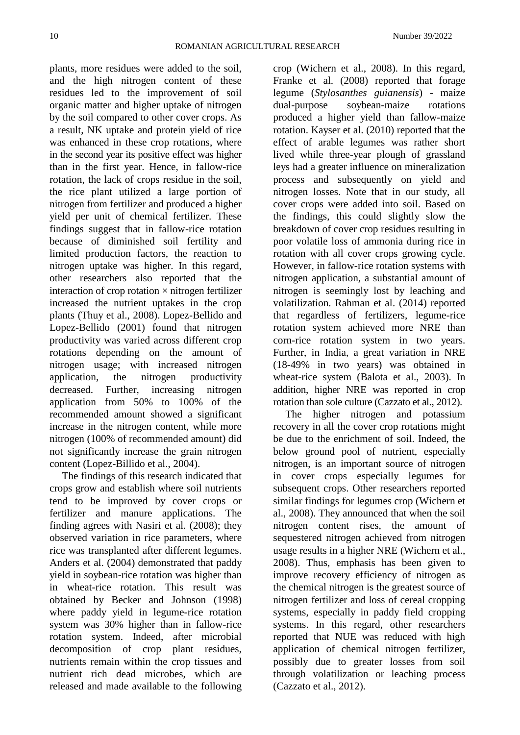plants, more residues were added to the soil, and the high nitrogen content of these residues led to the improvement of soil organic matter and higher uptake of nitrogen by the soil compared to other cover crops. As a result, NK uptake and protein yield of rice was enhanced in these crop rotations, where in the second year its positive effect was higher than in the first year. Hence, in fallow-rice rotation, the lack of crops residue in the soil, the rice plant utilized a large portion of nitrogen from fertilizer and produced a higher yield per unit of chemical fertilizer. These findings suggest that in fallow-rice rotation because of diminished soil fertility and limited production factors, the reaction to nitrogen uptake was higher. In this regard, other researchers also reported that the interaction of crop rotation  $\times$  nitrogen fertilizer increased the nutrient uptakes in the crop plants (Thuy et al., 2008). Lopez-Bellido and Lopez-Bellido (2001) found that nitrogen productivity was varied across different crop rotations depending on the amount of nitrogen usage; with increased nitrogen application, the nitrogen productivity decreased. Further, increasing nitrogen application from 50% to 100% of the recommended amount showed a significant increase in the nitrogen content, while more nitrogen (100% of recommended amount) did not significantly increase the grain nitrogen content (Lopez-Billido et al., 2004).

The findings of this research indicated that crops grow and establish where soil nutrients tend to be improved by cover crops or fertilizer and manure applications. The finding agrees with Nasiri et al. (2008); they observed variation in rice parameters, where rice was transplanted after different legumes. Anders et al. (2004) demonstrated that paddy yield in soybean-rice rotation was higher than in wheat-rice rotation. This result was obtained by Becker and Johnson (1998) where paddy yield in legume-rice rotation system was 30% higher than in fallow-rice rotation system. Indeed, after microbial decomposition of crop plant residues, nutrients remain within the crop tissues and nutrient rich dead microbes, which are released and made available to the following

crop (Wichern et al., 2008). In this regard, Franke et al. (2008) reported that forage legume (*Stylosanthes guianensis*) - maize dual-purpose soybean-maize rotations produced a higher yield than fallow-maize rotation. Kayser et al. (2010) reported that the effect of arable legumes was rather short lived while three-year plough of grassland leys had a greater influence on mineralization process and subsequently on yield and nitrogen losses. Note that in our study, all cover crops were added into soil. Based on the findings, this could slightly slow the breakdown of cover crop residues resulting in poor volatile loss of ammonia during rice in rotation with all cover crops growing cycle. However, in fallow-rice rotation systems with nitrogen application, a substantial amount of nitrogen is seemingly lost by leaching and volatilization. Rahman et al. (2014) reported that regardless of fertilizers, legume-rice rotation system achieved more NRE than corn-rice rotation system in two years. Further, in India, a great variation in NRE (18-49% in two years) was obtained in wheat-rice system (Balota et al., 2003). In addition, higher NRE was reported in crop rotation than sole culture (Cazzato et al., 2012).

The higher nitrogen and potassium recovery in all the cover crop rotations might be due to the enrichment of soil. Indeed, the below ground pool of nutrient, especially nitrogen, is an important source of nitrogen in cover crops especially legumes for subsequent crops. Other researchers reported similar findings for legumes crop (Wichern et al., 2008). They announced that when the soil nitrogen content rises, the amount of sequestered nitrogen achieved from nitrogen usage results in a higher NRE (Wichern et al., 2008). Thus, emphasis has been given to improve recovery efficiency of nitrogen as the chemical nitrogen is the greatest source of nitrogen fertilizer and loss of cereal cropping systems, especially in paddy field cropping systems. In this regard, other researchers reported that NUE was reduced with high application of chemical nitrogen fertilizer, possibly due to greater losses from soil through volatilization or leaching process (Cazzato et al., 2012).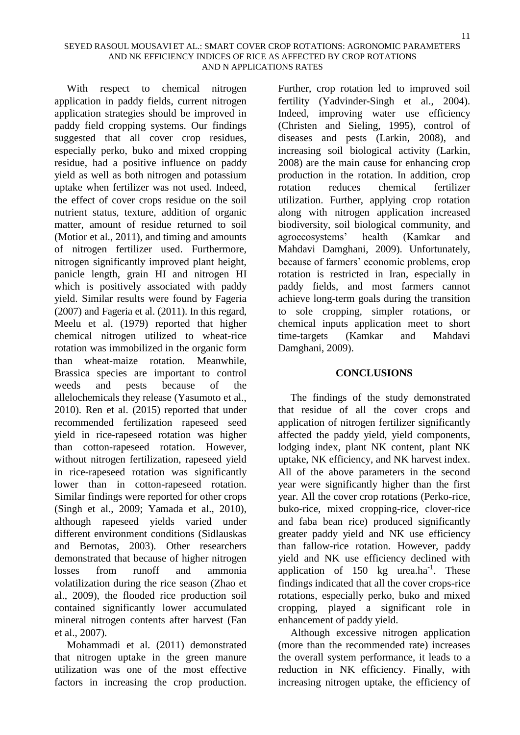With respect to chemical nitrogen application in paddy fields, current nitrogen application strategies should be improved in paddy field cropping systems. Our findings suggested that all cover crop residues, especially perko, buko and mixed cropping residue, had a positive influence on paddy yield as well as both nitrogen and potassium uptake when fertilizer was not used. Indeed, the effect of cover crops residue on the soil nutrient status, texture, addition of organic matter, amount of residue returned to soil (Motior et al., 2011), and timing and amounts of nitrogen fertilizer used. Furthermore, nitrogen significantly improved plant height, panicle length, grain HI and nitrogen HI which is positively associated with paddy yield. Similar results were found by Fageria (2007) and Fageria et al. (2011). In this regard, Meelu et al. (1979) reported that higher chemical nitrogen utilized to wheat-rice rotation was immobilized in the organic form than wheat-maize rotation. Meanwhile, Brassica species are important to control weeds and pests because of the allelochemicals they release (Yasumoto et al., 2010). Ren et al. (2015) reported that under recommended fertilization rapeseed seed yield in rice-rapeseed rotation was higher than cotton-rapeseed rotation. However, without nitrogen fertilization, rapeseed yield in rice-rapeseed rotation was significantly lower than in cotton-rapeseed rotation. Similar findings were reported for other crops (Singh et al., 2009; Yamada et al., 2010), although rapeseed yields varied under different environment conditions (Sidlauskas and Bernotas, 2003). Other researchers demonstrated that because of higher nitrogen losses from runoff and ammonia volatilization during the rice season (Zhao et al., 2009), the flooded rice production soil contained significantly lower accumulated mineral nitrogen contents after harvest (Fan et al., 2007).

Mohammadi et al. (2011) demonstrated that nitrogen uptake in the green manure utilization was one of the most effective factors in increasing the crop production.

Further, crop rotation led to improved soil fertility (Yadvinder-Singh et al., 2004). Indeed, improving water use efficiency (Christen and Sieling, 1995), control of diseases and pests (Larkin, 2008), and increasing soil biological activity (Larkin, 2008) are the main cause for enhancing crop production in the rotation. In addition, crop rotation reduces chemical fertilizer utilization. Further, applying crop rotation along with nitrogen application increased biodiversity, soil biological community, and agroecosystems' health (Kamkar and Mahdavi Damghani, 2009). Unfortunately, because of farmers' economic problems, crop rotation is restricted in Iran, especially in paddy fields, and most farmers cannot achieve long-term goals during the transition to sole cropping, simpler rotations, or chemical inputs application meet to short time-targets (Kamkar and Mahdavi Damghani, 2009).

## **CONCLUSIONS**

The findings of the study demonstrated that residue of all the cover crops and application of nitrogen fertilizer significantly affected the paddy yield, yield components, lodging index, plant NK content, plant NK uptake, NK efficiency, and NK harvest index. All of the above parameters in the second year were significantly higher than the first year. All the cover crop rotations (Perko-rice, buko-rice, mixed cropping-rice, clover-rice and faba bean rice) produced significantly greater paddy yield and NK use efficiency than fallow-rice rotation. However, paddy yield and NK use efficiency declined with application of  $150 \text{ kg}$  urea.ha<sup>-1</sup>. These findings indicated that all the cover crops-rice rotations, especially perko, buko and mixed cropping, played a significant role in enhancement of paddy yield.

Although excessive nitrogen application (more than the recommended rate) increases the overall system performance, it leads to a reduction in NK efficiency. Finally, with increasing nitrogen uptake, the efficiency of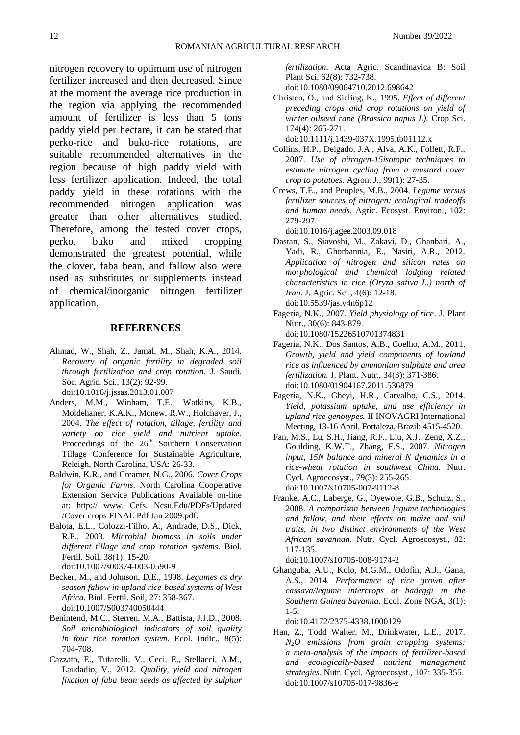nitrogen recovery to optimum use of nitrogen fertilizer increased and then decreased. Since at the moment the average rice production in the region via applying the recommended amount of fertilizer is less than 5 tons paddy yield per hectare, it can be stated that perko-rice and buko-rice rotations, are suitable recommended alternatives in the region because of high paddy yield with less fertilizer application. Indeed, the total paddy yield in these rotations with the recommended nitrogen application was greater than other alternatives studied. Therefore, among the tested cover crops, perko, buko and mixed cropping demonstrated the greatest potential, while the clover, faba bean, and fallow also were used as substitutes or supplements instead of chemical/inorganic nitrogen fertilizer application.

#### **REFERENCES**

- Ahmad, W., Shah, Z., Jamal, M., Shah, K.A., 2014. *Recovery of organic fertility in degraded soil through fertilization and crop rotation.* J. Saudi. Soc. Agric. Sci., 13(2): 92-99. doi[:10.1016/j.jssas.2013.01.007](https://doi.org/10.1016/j.jssas.2013.01.007)
- Anders, M.M., Winham, T.E., Watkins, K.B., Moldehaner, K.A.K., Mcnew, R.W., Holchaver, J., 2004. *The effect of rotation, tillage, fertility and variety on rice yield and nutrient uptake.*  Proceedings of the 26<sup>th</sup> Southern Conservation Tillage Conference for Sustainable Agriculture, Releigh, North Carolina, USA: 26-33.
- Baldwin, K.R., and Creamer, N.G., 2006. *Cover Crops for Organic Farms*. North Carolina Cooperative Extension Service Publications Available on-line at: http:// www. Cefs. Ncsu.Edu/PDFs/Updated /Cover crops FINAL Pdf Jan 2009.pdf.
- Balota, E.L., Colozzi-Filho, A., Andrade, D.S., Dick, R.P., 2003. *Microbial biomass in soils under different tillage and crop rotation systems*. Biol. Fertil. Soil, 38(1): 15-20. doi:10.1007/s00374-003-0590-9
- Becker, M., and Johnson, D.E., 1998. *Legumes as dry season fallow in upland rice-based systems of West Africa.* Biol. Fertil. Soil, 27: 358-367. doi:10.1007/S003740050444
- Benintend, M.C., Sterren, M.A., Battista, J.J.D., 2008. *Soil microbiological indicators of soil quality in four rice rotation system*. Ecol. Indic., 8(5): 704-708.
- Cazzato, E., Tufarelli, V., Ceci, E., Stellacci, A.M., Laudadio, V., 2012. *Quality, yield and nitrogen fixation of faba bean seeds as affected by sulphur*

*fertilization*. Acta Agric. Scandinavica B: Soil Plant Sci. 62(8): 732-738.

doi:10.1080/09064710.2012.698642

- Christen, O., and Sieling, K., 1995. *Effect of different preceding crops and crop rotations on yield of winter oilseed rape (Brassica napus L).* Crop Sci. 174(4): 265-271.
	- doi:10.1111/j.1439-037X.1995.tb01112.x
- Collins, H.P., Delgado, J.A., Alva, A.K., Follett, R.F., 2007. *Use of nitrogen-15isotopic techniques to estimate nitrogen cycling from a mustard cover crop to potatoes*. Agron. J., 99(1): 27-35.
- Crews, T.E., and Peoples, M.B., 2004. *Legume versus fertilizer sources of nitrogen: ecological tradeoffs and human needs*. Agric. Ecosyst. Environ., 102: 279-297.

doi:10.1016/j.agee.2003.09.018

- Dastan, S., Siavoshi, M., Zakavi, D., Ghanbari, A., Yadi, R., Ghorbannia, E., Nasiri, A.R., 2012. *Application of nitrogen and silicon rates on morphological and chemical lodging related characteristics in rice (Oryza sativa L.) north of Iran. J. Agric. Sci., 4(6): 12-18.* doi[:10.5539/jas.v4n6p12](https://doi.org/10.5539/jas.v4n6p12)
- Fageria, N.K., 2007. *Yield physiology of rice*. J. Plant Nutr., 30(6): 843-879. doi[:10.1080/15226510701374831](https://doi.org/10.1080/15226510701374831)
- Fageria, N.K., Dos Santos, A.B., Coelho, A.M., 2011. *Growth, yield and yield components of lowland rice as influenced by ammonium sulphate and urea fertilization.* J. Plant. Nutr., 34(3): 371-386. doi:10.1080/01904167.2011.536879
- Fageria, N.K., Gheyi, H.R., Carvalho, C.S., 2014. *Yield, potassium uptake, and use efficiency in upland rice genotypes.* II INOVAGRI International Meeting, 13-16 April, Fortaleza, Brazil: 4515-4520.
- Fan, M.S., Lu, S.H., Jiang, R.F., Liu, X.J., Zeng, X.Z., Goulding, K.W.T., Zhang, F.S., 2007. *Nitrogen input, 15N balance and mineral N dynamics in a rice-wheat rotation in southwest China.* Nutr. Cycl. Agroecosyst., 79(3): 255-265. doi:10.1007/s10705-007-9112-8
- Franke, A.C., Laberge, G., Oyewole, G.B., Schulz, S., 2008. *A comparison between legume technologies and fallow, and their effects on maize and soil traits, in two distinct environments of the West African savannah*. Nutr. Cycl. Agroecosyst., 82: 117-135.

doi:10.1007/s10705-008-9174-2

Ghanguba, A.U., Kolo, M.G.M., Odofin, A.J., Gana, A.S., 2014. *Performance of rice grown after cassava/legume intercrops at badeggi in the Southern Guinea Savanna*. Ecol. Zone NGA, 3(1): 1-5.

doi:10.4172/2375-4338.1000129

Han, Z., Todd Walter, M., Drinkwater, L.E., 2017. *N2O emissions from grain cropping systems: a meta-analysis of the impacts of fertilizer-based and ecologically-based nutrient management strategies*. Nutr. Cycl. Agroecosyst., 107: 335-355. doi:10.1007/s10705-017-9836-z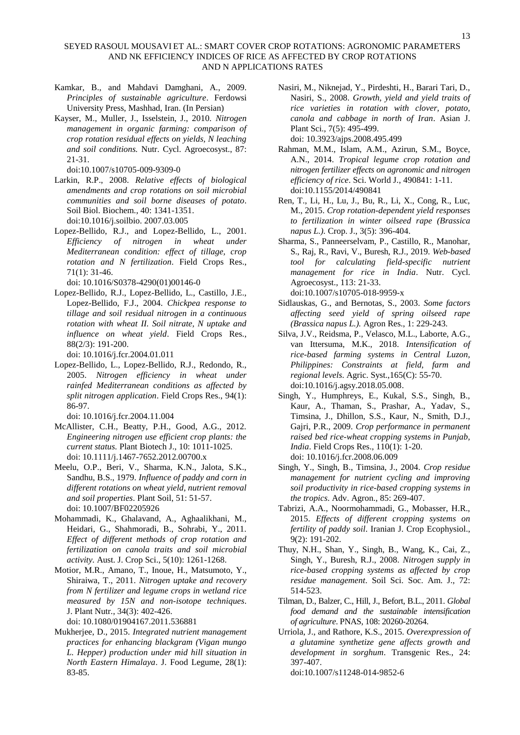#### SEYED RASOUL MOUSAVI ET AL.: SMART COVER CROP ROTATIONS: AGRONOMIC PARAMETERS AND NK EFFICIENCY INDICES OF RICE AS AFFECTED BY CROP ROTATIONS AND N APPLICATIONS RATES

- Kamkar, B., and Mahdavi Damghani, A., 2009. *Principles of sustainable agriculture*. Ferdowsi University Press, Mashhad, Iran. (In Persian)
- Kayser, M., Muller, J., Isselstein, J., 2010. *Nitrogen management in organic farming: comparison of crop rotation residual effects on yields, N leaching and soil conditions.* Nutr. Cycl. Agroecosyst., 87: 21-31.

doi:10.1007/s10705-009-9309-0

- Larkin, R.P., 2008. *Relative effects of biological amendments and crop rotations on soil microbial communities and soil borne diseases of potato*. Soil Biol. Biochem., 40: 1341-1351. doi:10.1016/j.soilbio. 2007.03.005
- Lopez-Bellido, R.J., and Lopez-Bellido, L., 2001. *Efficiency of nitrogen in wheat under Mediterranean condition: effect of tillage, crop rotation and N fertilization*. Field Crops Res., 71(1): 31-46.

doi[: 10.1016/S0378-4290\(01\)00146-0](https://doi.org/10.1016/S0378-4290(01)00146-0)

Lopez-Bellido, R.J., Lopez-Bellido, L., Castillo, J.E., Lopez-Bellido, F.J., 2004. *Chickpea response to tillage and soil residual nitrogen in a continuous rotation with wheat II. Soil nitrate, N uptake and influence on wheat yield*. Field Crops Res., 88(2/3): 191-200.

doi[: 10.1016/j.fcr.2004.01.011](https://doi.org/10.1016/j.fcr.2004.01.011)

Lopez-Bellido, L., Lopez-Bellido, R.J., Redondo, R., 2005. *Nitrogen efficiency in wheat under rainfed Mediterranean conditions as affected by split nitrogen application*. Field Crops Res., 94(1): 86-97.

doi[: 10.1016/j.fcr.2004.11.004](https://doi.org/10.1016/j.fcr.2004.11.004)

- McAllister, C.H., Beatty, P.H., Good, A.G., 2012. *Engineering nitrogen use efficient crop plants: the current status.* Plant Biotech J., 10: 1011-1025. doi[: 10.1111/j.1467-7652.2012.00700.x](https://doi.org/10.1111/j.1467-7652.2012.00700.x)
- Meelu, O.P., Beri, V., Sharma, K.N., Jalota, S.K., Sandhu, B.S., 1979. *Influence of paddy and corn in different rotations on wheat yield, nutrient removal and soil properties*. Plant Soil, 51: 51-57. doi: 10.1007/BF02205926
- Mohammadi, K., Ghalavand, A., Aghaalikhani, M., Heidari, G., Shahmoradi, B., Sohrabi, Y., 2011. *Effect of different methods of crop rotation and fertilization on canola traits and soil microbial activity.* Aust. J. Crop Sci., 5(10): 1261-1268.
- Motior, M.R., Amano, T., Inoue, H., Matsumoto, Y., Shiraiwa, T., 2011. *Nitrogen uptake and recovery from N fertilizer and legume crops in wetland rice measured by 15N and non-isotope techniques*. J. Plant Nutr., 34(3): 402-426.

doi[: 10.1080/01904167.2011.536881](https://doi.org/10.1080/01904167.2011.536881)

Mukherjee, D., 2015. *Integrated nutrient management practices for enhancing blackgram (Vigan mungo L. Hepper) production under mid hill situation in North Eastern Himalaya*. J. Food Legume, 28(1): 83-85.

Nasiri, M., Niknejad, Y., Pirdeshti, H., Barari Tari, D., Nasiri, S., 2008. *Growth, yield and yield traits of rice varieties in rotation with clover, potato, canola and cabbage in north of Iran*. Asian J. Plant Sci., 7(5): 495-499.

doi[: 10.3923/ajps.2008.495.499](http://dx.doi.org/10.3923/ajps.2008.495.499)

- Rahman, M.M., Islam, A.M., Azirun, S.M., Boyce, A.N., 2014. *Tropical legume crop rotation and nitrogen fertilizer effects on agronomic and nitrogen efficiency of rice*. Sci. World J., 490841: 1-11. doi:10.1155/2014/490841
- Ren, T., Li, H., Lu, J., Bu, R., Li, X., Cong, R., Luc, M., 2015. *Crop rotation-dependent yield responses to fertilization in winter oilseed rape (Brassica napus L.).* Crop. J., 3(5): 396-404.
- Sharma, S., Panneerselvam, P., Castillo, R., Manohar, S., Raj, R., Ravi, V., Buresh, R.J., 2019. *Web-based tool for calculating field-specific nutrient management for rice in India*. Nutr. Cycl. Agroecosyst., 113: 21-33. doi:10.1007/s10705-018-9959-x
- Sidlauskas, G., and Bernotas, S., 2003. *Some factors affecting seed yield of spring oilseed rape (Brassica napus L.).* Agron Res., 1: 229-243.
- Silva, J.V., Reidsma, P., Velasco, M.L., Laborte, A.G., van Ittersuma, M.K., 2018. *Intensification of rice-based farming systems in Central Luzon, Philippines: Constraints at field, farm and regional levels*. Agric. Syst.,165(C): 55-70. doi:10.1016/j.agsy.2018.05.008.
- Singh, Y., Humphreys, E., Kukal, S.S., Singh, B., Kaur, A., Thaman, S., Prashar, A., Yadav, S., Timsina, J., Dhillon, S.S., Kaur, N., Smith, D.J., Gajri, P.R., 2009. *Crop performance in permanent raised bed rice-wheat cropping systems in Punjab, India*. Field Crops Res., 110(1): 1-20. doi[: 10.1016/j.fcr.2008.06.009](https://doi.org/10.1016/j.fcr.2008.06.009)
- Singh, Y., Singh, B., Timsina, J., 2004. *Crop residue management for nutrient cycling and improving soil productivity in rice-based cropping systems in the tropics*. Adv. Agron., 85: 269-407.
- Tabrizi, A.A., Noormohammadi, G., Mobasser, H.R., 2015. *Effects of different cropping systems on fertility of paddy soil*. Iranian J. Crop Ecophysiol., 9(2): 191-202.
- Thuy, N.H., Shan, Y., Singh, B., Wang, K., Cai, Z., Singh, Y., Buresh, R.J., 2008. *Nitrogen supply in rice-based cropping systems as affected by crop residue management*. Soil Sci. Soc. Am. J., 72: 514-523.
- Tilman, D., Balzer, C., Hill, J., Befort, B.L., 2011. *Global food demand and the sustainable intensification of agriculture*. PNAS, 108: 20260-20264.
- Urriola, J., and Rathore, K.S., 2015. *Overexpression of a glutamine synthetize gene affects growth and development in sorghum*. Transgenic Res., 24: 397-407.

doi:10.1007/s11248-014-9852-6